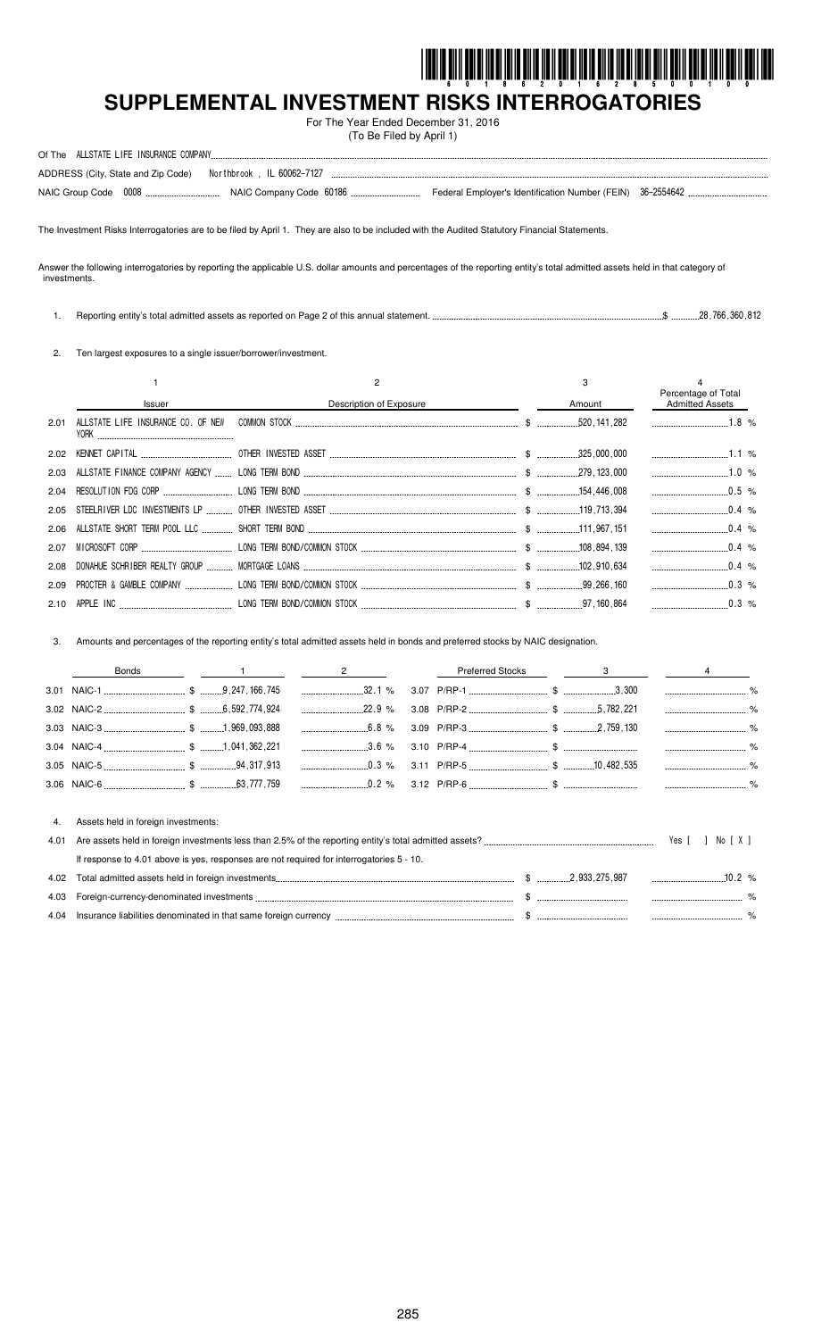

# **SUPPLEMENTAL INVESTMENT RISKS INTERROGATORIES**

For The Year Ended December 31, 2016 (To Be Filed by April 1)

|  | ADDRESS (City, State and Zip Code)    Northbrook, IL 60062-7127 |  |  |
|--|-----------------------------------------------------------------|--|--|
|  |                                                                 |  |  |

The Investment Risks Interrogatories are to be filed by April 1. They are also to be included with the Audited Statutory Financial Statements.

Answer the following interrogatories by reporting the applicable U.S. dollar amounts and percentages of the reporting entity's total admitted assets held in that category of investments.

1. Reporting entity's total admitted assets as reported on Page 2 of this annual statement. \$ 28,766,360,812

2. Ten largest exposures to a single issuer/borrower/investment.

|      |        |                         |        | Percentage of Total    |  |
|------|--------|-------------------------|--------|------------------------|--|
|      | Issuer | Description of Exposure | Amount | <b>Admitted Assets</b> |  |
| 2.01 | Y0RK   |                         |        | $1.8\%$                |  |
|      |        |                         |        |                        |  |
|      |        |                         |        |                        |  |
|      |        |                         |        | $0.5\%$                |  |
|      |        |                         |        | $0.4\%$                |  |
|      |        |                         |        | $0.4\%$                |  |
| 2.07 |        |                         |        | $\ldots$ 0.4 %         |  |
|      |        |                         |        | $0.4\%$                |  |
| 2.09 |        |                         |        | $0.3\%$                |  |
|      |        |                         |        |                        |  |

3. Amounts and percentages of the reporting entity's total admitted assets held in bonds and preferred stocks by NAIC designation.

|            | Bonds                                                                                    | $\overline{\phantom{a}}$ 2 | <b>Preferred Stocks</b> | $\overline{\mathbf{3}}$ and $\overline{\mathbf{3}}$ and $\overline{\mathbf{4}}$ |                  |  |
|------------|------------------------------------------------------------------------------------------|----------------------------|-------------------------|---------------------------------------------------------------------------------|------------------|--|
|            |                                                                                          | 32.1%                      |                         |                                                                                 |                  |  |
|            |                                                                                          |                            |                         |                                                                                 |                  |  |
|            |                                                                                          | $6.8\%$                    |                         |                                                                                 |                  |  |
|            |                                                                                          | 3.6 %                      |                         |                                                                                 |                  |  |
|            |                                                                                          | $0.3\%$                    |                         |                                                                                 |                  |  |
|            |                                                                                          |                            |                         |                                                                                 |                  |  |
| 4.<br>4.01 | Assets held in foreign investments:                                                      |                            |                         |                                                                                 | Yes [ ]<br>Norxi |  |
|            | If response to 4.01 above is yes, responses are not required for interrogatories 5 - 10. |                            |                         |                                                                                 |                  |  |
| 4.02       |                                                                                          |                            |                         |                                                                                 | $10.2\%$         |  |
| 4.03       |                                                                                          |                            |                         |                                                                                 |                  |  |
|            |                                                                                          |                            |                         |                                                                                 |                  |  |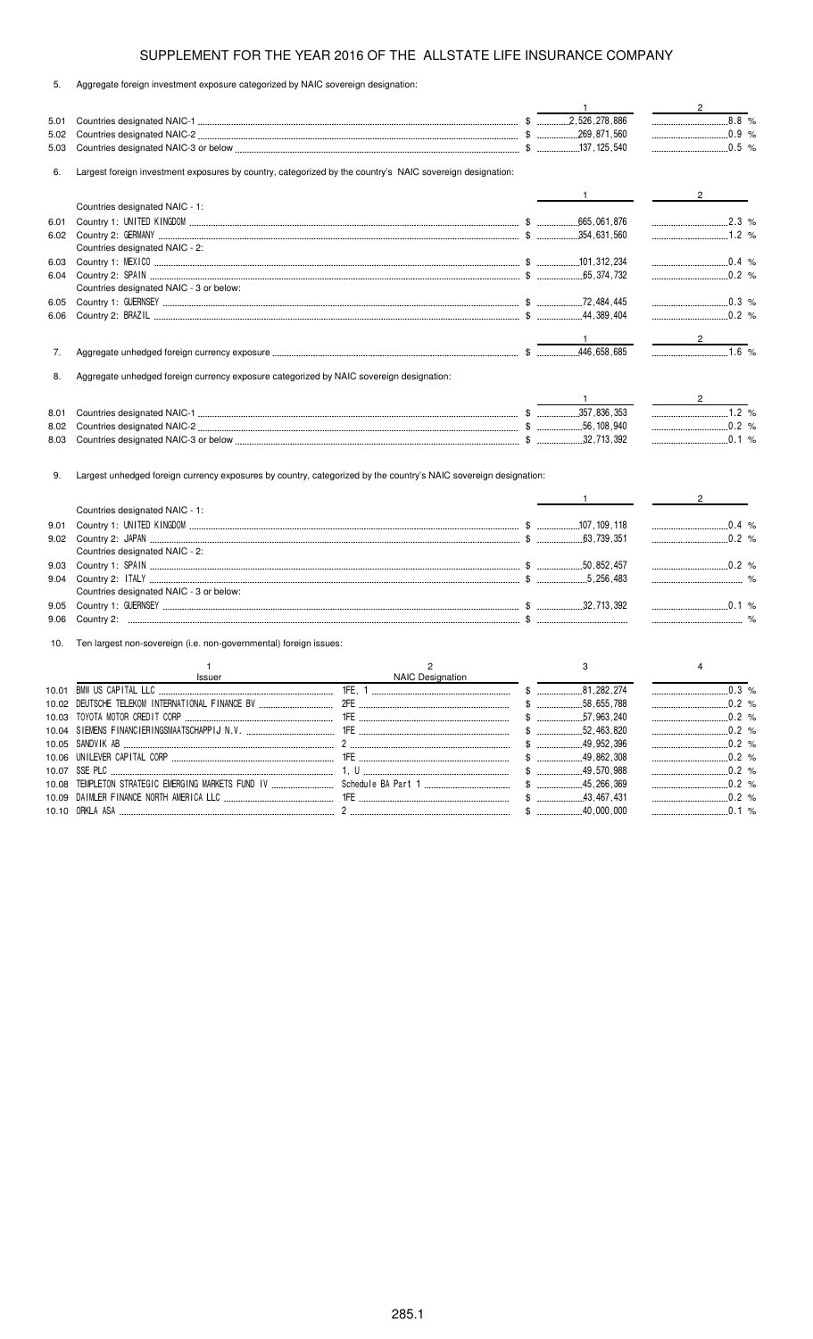|  |  |  |  |  |  |  |  | Aggregate foreign investment exposure categorized by NAIC sovereign designation: |
|--|--|--|--|--|--|--|--|----------------------------------------------------------------------------------|
|--|--|--|--|--|--|--|--|----------------------------------------------------------------------------------|

|      |                                                                                                                  |                  |       | $\mathbf{1}$                                                                                                                                                                                                                                                                                                        | $\frac{2}{\sqrt{2}}$                                   |
|------|------------------------------------------------------------------------------------------------------------------|------------------|-------|---------------------------------------------------------------------------------------------------------------------------------------------------------------------------------------------------------------------------------------------------------------------------------------------------------------------|--------------------------------------------------------|
| 5.01 |                                                                                                                  |                  |       |                                                                                                                                                                                                                                                                                                                     | $8.8 %$                                                |
| 5.02 |                                                                                                                  |                  |       |                                                                                                                                                                                                                                                                                                                     | $\ldots$ 0.9 %                                         |
| 5.03 |                                                                                                                  |                  |       |                                                                                                                                                                                                                                                                                                                     |                                                        |
| 6.   | Largest foreign investment exposures by country, categorized by the country's NAIC sovereign designation:        |                  |       |                                                                                                                                                                                                                                                                                                                     |                                                        |
|      |                                                                                                                  |                  |       | $\mathbf{1}$ and $\mathbf{1}$ and $\mathbf{1}$ and $\mathbf{1}$                                                                                                                                                                                                                                                     | $2 \left( \frac{1}{2} \right)$                         |
|      | Countries designated NAIC - 1:                                                                                   |                  |       |                                                                                                                                                                                                                                                                                                                     |                                                        |
| 6.01 |                                                                                                                  |                  |       |                                                                                                                                                                                                                                                                                                                     | 2.3 %                                                  |
|      |                                                                                                                  |                  |       |                                                                                                                                                                                                                                                                                                                     |                                                        |
|      | Countries designated NAIC - 2:                                                                                   |                  |       |                                                                                                                                                                                                                                                                                                                     |                                                        |
| 6.03 |                                                                                                                  |                  |       |                                                                                                                                                                                                                                                                                                                     | $\begin{array}{ccc}\n& 0.4 & \frac{9}{6}\n\end{array}$ |
| 6.04 |                                                                                                                  |                  |       |                                                                                                                                                                                                                                                                                                                     |                                                        |
|      | Countries designated NAIC - 3 or below:                                                                          |                  |       |                                                                                                                                                                                                                                                                                                                     |                                                        |
| 6.05 |                                                                                                                  |                  |       |                                                                                                                                                                                                                                                                                                                     | $\ldots$ 0.3 %                                         |
| 6.06 |                                                                                                                  |                  |       |                                                                                                                                                                                                                                                                                                                     |                                                        |
|      |                                                                                                                  |                  |       |                                                                                                                                                                                                                                                                                                                     |                                                        |
|      |                                                                                                                  |                  |       | $\frac{1}{2}$ $\frac{1}{2}$ $\frac{1}{2}$ $\frac{1}{2}$ $\frac{1}{2}$ $\frac{1}{2}$ $\frac{1}{2}$ $\frac{1}{2}$ $\frac{1}{2}$ $\frac{1}{2}$ $\frac{1}{2}$ $\frac{1}{2}$ $\frac{1}{2}$ $\frac{1}{2}$ $\frac{1}{2}$ $\frac{1}{2}$ $\frac{1}{2}$ $\frac{1}{2}$ $\frac{1}{2}$ $\frac{1}{2}$ $\frac{1}{2}$ $\frac{1}{2}$ | $\frac{2}{2}$                                          |
| 7.   |                                                                                                                  |                  |       |                                                                                                                                                                                                                                                                                                                     |                                                        |
| 8.   | Aggregate unhedged foreign currency exposure categorized by NAIC sovereign designation:                          |                  |       |                                                                                                                                                                                                                                                                                                                     |                                                        |
|      |                                                                                                                  |                  |       | $\mathbf{1}$                                                                                                                                                                                                                                                                                                        |                                                        |
| 8.01 |                                                                                                                  |                  |       |                                                                                                                                                                                                                                                                                                                     |                                                        |
| 8.02 |                                                                                                                  |                  |       |                                                                                                                                                                                                                                                                                                                     |                                                        |
| 8.03 |                                                                                                                  |                  |       |                                                                                                                                                                                                                                                                                                                     | $\ldots$ 0.1 %                                         |
| 9.   | Largest unhedged foreign currency exposures by country, categorized by the country's NAIC sovereign designation: |                  |       |                                                                                                                                                                                                                                                                                                                     |                                                        |
|      | Countries designated NAIC - 1:                                                                                   |                  |       | $1$ and $1$ and $1$                                                                                                                                                                                                                                                                                                 | $2 \left( \frac{1}{2} \right)$                         |
| 9.01 |                                                                                                                  |                  |       |                                                                                                                                                                                                                                                                                                                     | $\ldots$ 0.4 %                                         |
|      |                                                                                                                  |                  |       |                                                                                                                                                                                                                                                                                                                     | $\frac{1}{2}$ 0.2 %                                    |
|      | Countries designated NAIC - 2:                                                                                   |                  |       |                                                                                                                                                                                                                                                                                                                     |                                                        |
| 9.03 |                                                                                                                  |                  |       |                                                                                                                                                                                                                                                                                                                     |                                                        |
| 9.04 |                                                                                                                  |                  |       |                                                                                                                                                                                                                                                                                                                     |                                                        |
|      | Countries designated NAIC - 3 or below:                                                                          |                  |       |                                                                                                                                                                                                                                                                                                                     |                                                        |
| 9.05 |                                                                                                                  |                  |       |                                                                                                                                                                                                                                                                                                                     | $\ldots$ 0.1 %                                         |
| 9.06 |                                                                                                                  |                  |       |                                                                                                                                                                                                                                                                                                                     |                                                        |
| 10.  | Ten largest non-sovereign (i.e. non-governmental) foreign issues:                                                |                  |       |                                                                                                                                                                                                                                                                                                                     |                                                        |
|      | $\mathbf{1}$                                                                                                     | $\overline{2}$   |       | 3                                                                                                                                                                                                                                                                                                                   | 4                                                      |
|      | Issuer                                                                                                           | NAIC Designation |       |                                                                                                                                                                                                                                                                                                                     |                                                        |
|      |                                                                                                                  |                  |       |                                                                                                                                                                                                                                                                                                                     | 0.3%                                                   |
|      |                                                                                                                  |                  |       | $\$\quad$<br>.58,655,788                                                                                                                                                                                                                                                                                            | .0.2%<br>-----------------------------                 |
|      | 10.03 TOYOTA MOTOR CREDIT CORP                                                                                   |                  | $\$\$ | .57,963,240                                                                                                                                                                                                                                                                                                         | .0.2%                                                  |
|      |                                                                                                                  |                  |       |                                                                                                                                                                                                                                                                                                                     |                                                        |
|      |                                                                                                                  |                  |       |                                                                                                                                                                                                                                                                                                                     |                                                        |
|      |                                                                                                                  |                  |       |                                                                                                                                                                                                                                                                                                                     |                                                        |
|      |                                                                                                                  |                  |       |                                                                                                                                                                                                                                                                                                                     |                                                        |
|      |                                                                                                                  |                  |       |                                                                                                                                                                                                                                                                                                                     |                                                        |
|      |                                                                                                                  |                  |       |                                                                                                                                                                                                                                                                                                                     | $\ldots$ 0.2 %                                         |
|      |                                                                                                                  |                  | $\$\$ | 40,000,000                                                                                                                                                                                                                                                                                                          | $\ldots$ 0.1 %                                         |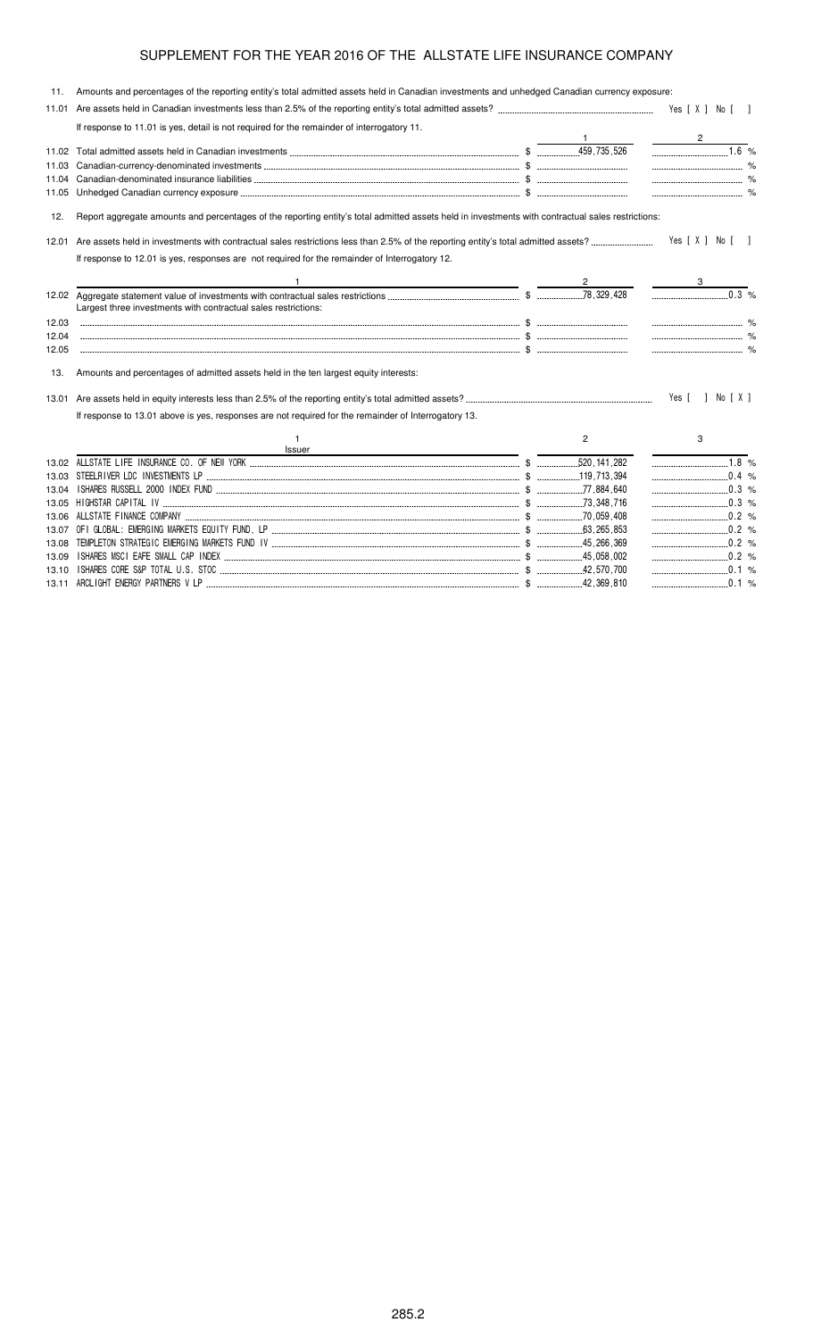| 11.   | Amounts and percentages of the reporting entity's total admitted assets held in Canadian investments and unhedged Canadian currency exposure:     |                |                      |  |
|-------|---------------------------------------------------------------------------------------------------------------------------------------------------|----------------|----------------------|--|
|       |                                                                                                                                                   |                |                      |  |
|       | If response to 11.01 is yes, detail is not required for the remainder of interrogatory 11.                                                        |                |                      |  |
|       |                                                                                                                                                   |                | $\overline{1.6}$ %   |  |
|       |                                                                                                                                                   |                |                      |  |
|       |                                                                                                                                                   |                |                      |  |
|       |                                                                                                                                                   |                | $\sim$ $\sim$ $\sim$ |  |
| 12.   | Report aggregate amounts and percentages of the reporting entity's total admitted assets held in investments with contractual sales restrictions: |                |                      |  |
|       |                                                                                                                                                   |                | Yes [ X ] No [ ]     |  |
|       | If response to 12.01 is yes, responses are not required for the remainder of Interrogatory 12.                                                    |                |                      |  |
|       |                                                                                                                                                   |                |                      |  |
|       | Largest three investments with contractual sales restrictions:                                                                                    |                | 0.3 %                |  |
| 12.03 |                                                                                                                                                   |                |                      |  |
| 12.04 |                                                                                                                                                   |                |                      |  |
| 12.05 |                                                                                                                                                   |                |                      |  |
| 13.   | Amounts and percentages of admitted assets held in the ten largest equity interests:                                                              |                |                      |  |
|       |                                                                                                                                                   |                | Yes [ ] No [ X ]     |  |
|       | If response to 13.01 above is yes, responses are not required for the remainder of Interrogatory 13.                                              |                |                      |  |
|       | Issuer                                                                                                                                            | $\overline{2}$ | 3                    |  |
|       |                                                                                                                                                   |                | $1.8\%$              |  |
|       |                                                                                                                                                   |                | $\ldots$ 0.4 %       |  |
| 13.04 |                                                                                                                                                   |                | $\ldots$ 0.3 %       |  |
|       |                                                                                                                                                   |                |                      |  |
|       |                                                                                                                                                   |                |                      |  |
|       |                                                                                                                                                   |                |                      |  |
|       |                                                                                                                                                   |                | $\ldots$ 0.2 %       |  |
| 13.09 |                                                                                                                                                   |                | $\ldots$ 0.2 %       |  |
|       |                                                                                                                                                   |                |                      |  |

13.11 ARCLIGHT ENERGY PARTNERS V LP \$ 42,369,810 0.1 %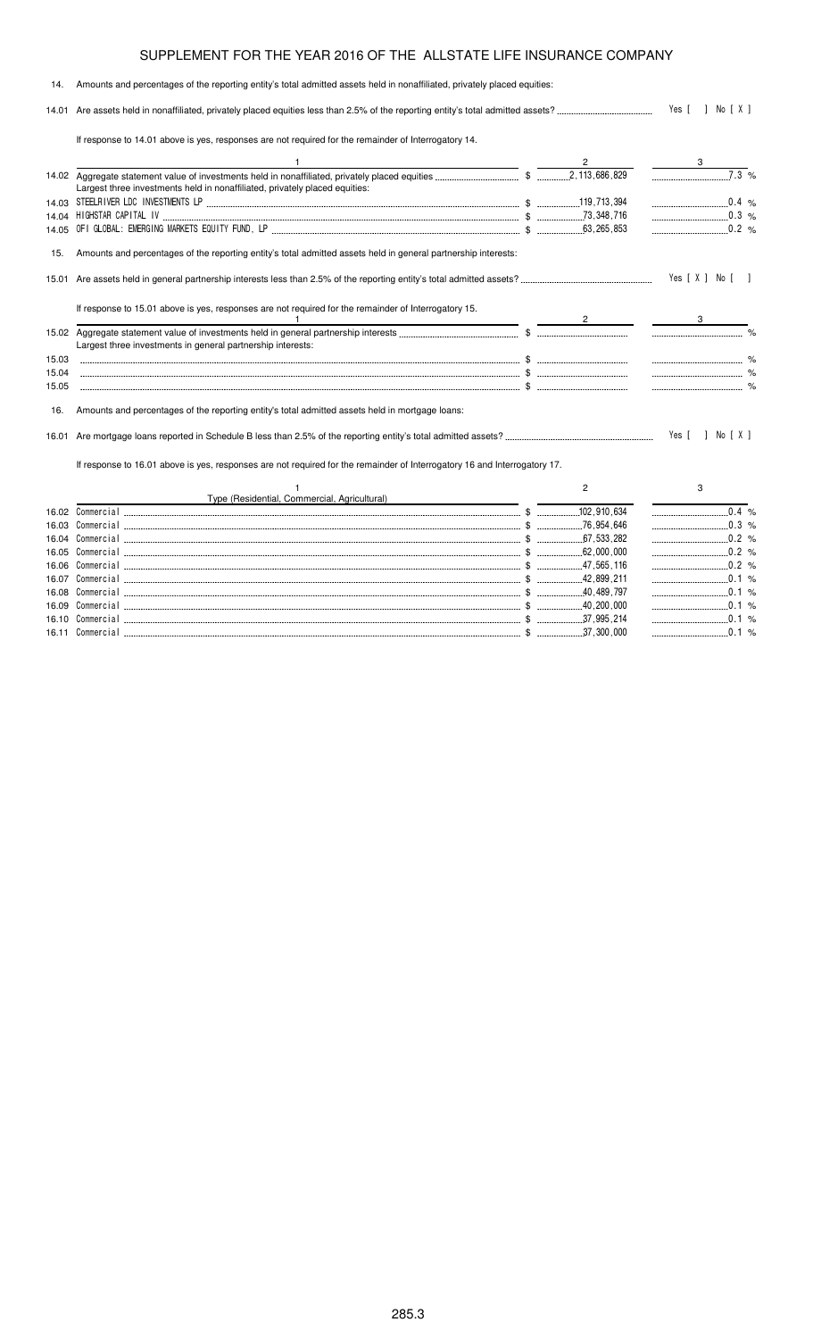#### 14. Amounts and percentages of the reporting entity's total admitted assets held in nonaffiliated, privately placed equities: 14.01 Are assets held in nonaffiliated, privately placed equities less than 2.5% of the reporting entity's total admitted assets? Yes [ ] No [ X ] If response to 14.01 above is yes, responses are not required for the remainder of Interrogatory 14. 1  $\overline{2}$  3 14.02 Aggregate statement value of investments held in nonaffiliated, privately placed equities \$ 2,113,686,829 7.3 % Largest three investments held in nonaffiliated, privately placed equities: 14.03 STEELRIVER LDC INVESTMENTS LP \$ 119,713,394 0.4 % 14.04 HIGHSTAR CAPITAL IV \$ 73,348,716 0.3 % 14.05 OFI GLOBAL: EMERGING MARKETS EQUITY FUND, LP \$ 63,265,853 0.2 % 15. Amounts and percentages of the reporting entity's total admitted assets held in general partnership interests: 15.01 Are assets held in general partnership interests less than 2.5% of the reporting entity's total admitted assets? Yes [X] No [] If response to 15.01 above is yes, responses are not required for the remainder of Interrogatory 15. 1  $\overline{2}$  3 15.02 Aggregate statement value of investments held in general partnership interests \$ % Largest three investments in general partnership interests: 15.03 \$ % 15.04 \$ % 15.05 \$ % 16. Amounts and percentages of the reporting entity's total admitted assets held in mortgage loans: 16.01 Are mortgage loans reported in Schedule B less than 2.5% of the reporting entity's total admitted assets? Yes [ ] No [ X ] If response to 16.01 above is yes, responses are not required for the remainder of Interrogatory 16 and Interrogatory 17. 1 Type (Residential, Commercial, Agricultural) 2 3 16.02 Commercial 22.000 Commercial 22.000 0.4 % 16.03 Commercial \$ 76,954,646 0.3 % 16.04 Commercial \$ 67,533,282 0.2 % 16.05 Commercial \$ 62,000,000 0.2 % 16.06 Commercial \$ 47,565,116 0.2 % 16.07 Commercial \$ 42,899,211 0.1 %

16.08 Commercial \$ 40,489,797 0.1 % 16.09 Commercial \$ 40,200,000 0.1 % 16.10 Commercial \$ 37,995,214 0.1 % 16.11 Commercial \$ 37,300,000 0.1 %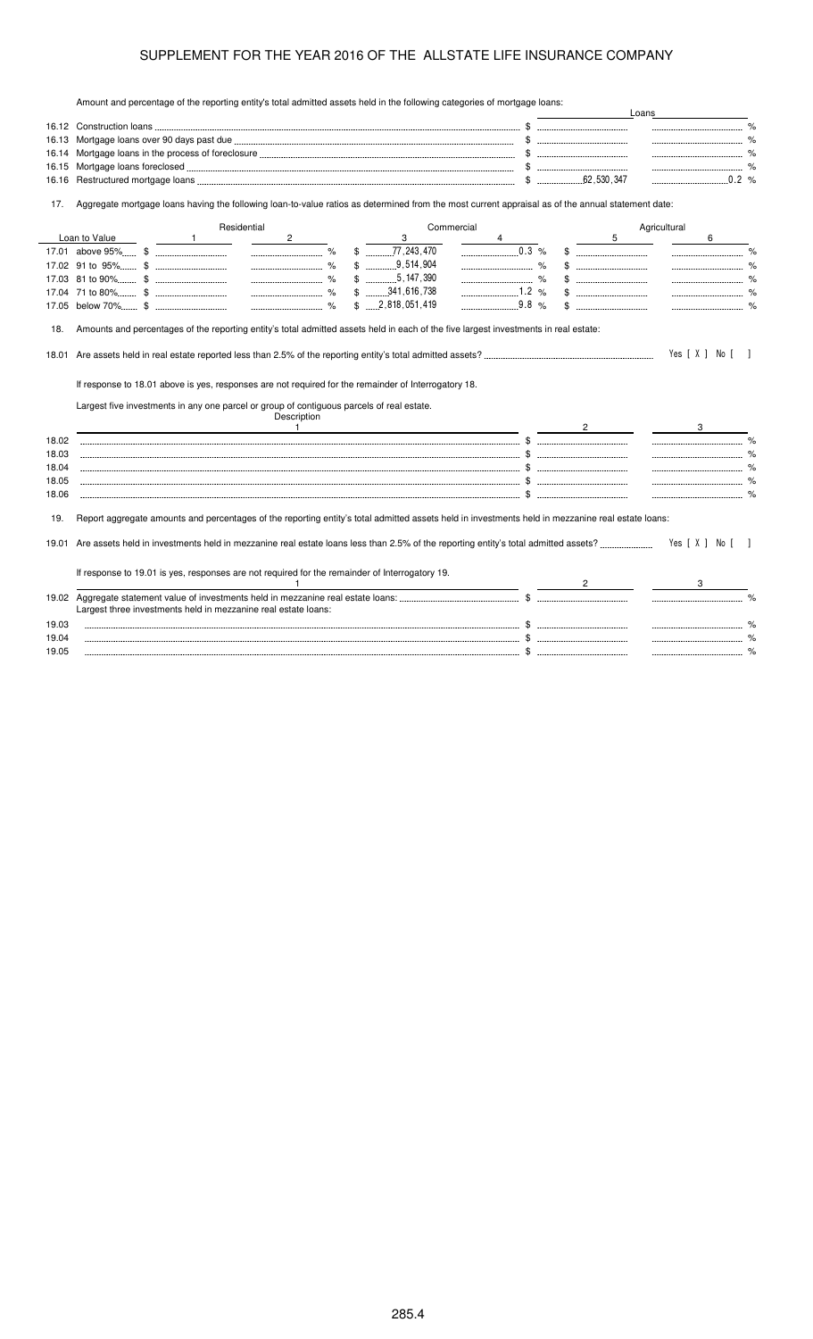Amount and percentage of the reporting entity's total admitted assets held in the following categories of mortgage loans:

|       | Amount and percentage of the reporting entity's total admitted assets neid in the following categories of mortgage loans.                         |                                    |   | Loans                    |
|-------|---------------------------------------------------------------------------------------------------------------------------------------------------|------------------------------------|---|--------------------------|
|       |                                                                                                                                                   |                                    |   |                          |
| 16.13 |                                                                                                                                                   |                                    |   |                          |
| 16.14 |                                                                                                                                                   |                                    |   |                          |
| 16.15 |                                                                                                                                                   |                                    |   |                          |
| 16.16 |                                                                                                                                                   |                                    |   |                          |
| 17.   | Aggregate mortgage loans having the following loan-to-value ratios as determined from the most current appraisal as of the annual statement date: |                                    |   |                          |
|       | Residential<br>Commercial                                                                                                                         |                                    |   | Agricultural             |
|       | Loan to Value<br>$\overline{1}$<br>$\mathbf{2}$<br>3                                                                                              | 4                                  | 5 | 6                        |
|       | $\begin{array}{ccc}\n&\circ & \circ \\ & \circ & \circ \\ & \circ & \circ\n\end{array}$                                                           | 0.3 %                              |   | $\%$                     |
|       |                                                                                                                                                   |                                    |   |                          |
|       | $$$ 5, 147, 390                                                                                                                                   | $\sim$ $\sim$ $\sim$ $\sim$ $\sim$ |   |                          |
|       | $$$ 341,616,738                                                                                                                                   |                                    |   |                          |
|       | $$ \dots 2,818,051,419$                                                                                                                           | 9.8 %                              |   |                          |
|       |                                                                                                                                                   |                                    |   |                          |
| 18.   | Amounts and percentages of the reporting entity's total admitted assets held in each of the five largest investments in real estate:              |                                    |   |                          |
|       |                                                                                                                                                   |                                    |   | Yes [ X ] No [<br>$\Box$ |
|       | If response to 18.01 above is yes, responses are not required for the remainder of Interrogatory 18.                                              |                                    |   |                          |
|       | Largest five investments in any one parcel or group of contiguous parcels of real estate.<br>Description                                          |                                    |   |                          |
|       | $\overline{1}$                                                                                                                                    |                                    |   | 3                        |
| 18.02 |                                                                                                                                                   |                                    |   | $\frac{9}{6}$<br>        |
| 18.03 |                                                                                                                                                   |                                    |   |                          |
| 18.04 |                                                                                                                                                   |                                    |   |                          |
| 18.05 |                                                                                                                                                   |                                    |   |                          |
| 18.06 |                                                                                                                                                   |                                    |   |                          |
|       |                                                                                                                                                   |                                    |   |                          |
| 19.   | Report aggregate amounts and percentages of the reporting entity's total admitted assets held in investments held in mezzanine real estate loans: |                                    |   |                          |
| 19.01 |                                                                                                                                                   |                                    |   | Yes [X ] No []           |
|       | If response to 19.01 is yes, responses are not required for the remainder of Interrogatory 19.                                                    |                                    |   |                          |
|       | -1                                                                                                                                                |                                    |   |                          |
|       |                                                                                                                                                   |                                    |   |                          |
|       | Largest three investments held in mezzanine real estate loans:                                                                                    |                                    |   |                          |
| 19.03 |                                                                                                                                                   |                                    |   |                          |
| 19.04 |                                                                                                                                                   |                                    |   |                          |
| 19.05 |                                                                                                                                                   |                                    |   |                          |